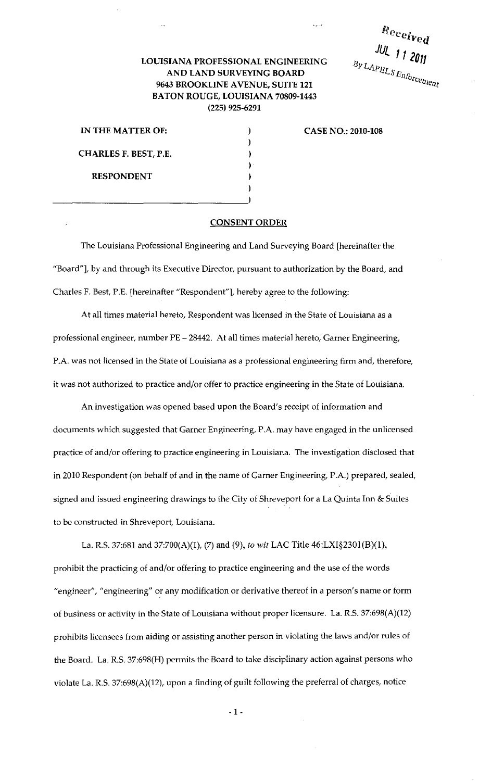Received JUL 112011  $B_{\mathcal{Y}L{APISL}}$   $E_{\mathcal{U}_{\text{0}rcc}_{\text{2}rcc_{\text{2}rcc_{\text{3}rcc_{\text{4}rcc_{\text{4}rcc_{\text{4}rcc_{\text{4}rcc_{\text{4}rcc_{\text{4}rcc_{\text{4}rcc_{\text{4}rcc_{\text{4}rcc_{\text{4}rcc_{\text{4}rcc_{\text{4}rcc_{\text{4}rcc_{\text{4}rcc_{\text{4}rcc_{\text{4}rcc_{\text{4}rcc_{\text{4}rcc_{\text{4}rcc_{\text{4}rcc_{\text{$ 

## LOUISIANA PROFESSIONAL ENGINEERING AND LAND SURVEYING BOARD 9643 BROOKLINE AVENUE, SUITE 121 BATON ROUGE, LOUISIANA 70809-1443 (225) 925-6291

IN THE MATTER OF: CHARLES F. BEST, P.E. RESPONDENT

CASE NO.: 2010-108

## CONSENT ORDER

) ) ) ) ) )

The Louisiana Professional Engineering and Land Surveying Board [hereinafter the "Board"]. by and through its Executive Director, pursuant to authorization by the Board, and Charles F. Best, P.E. [hereinafter "Respondent"]. hereby agree to the following:

At all times material hereto, Respondent was licensed in the State of Louisiana as a professional engineer, number PE- 28442. At all times material hereto, Garner Engineering, P.A. was not licensed in the State of Louisiana as a professional engineering firm and, therefore, it was not authorized to practice and/or offer to practice engineering in the State of Louisiana.

An investigation was opened based upon the Board's receipt of information and documents which suggested that Garner Engineering, P.A. may have engaged in the unlicensed practice of and/or offering to practice engineering in Louisiana. The investigation disclosed that in 2010 Respondent (on behalf of and in the name of Garner Engineering, P.A.) prepared, sealed, signed and issued engineering drawings to the City of Shreveport for a La Quinta Inn & Suites to be constructed in Shreveport, Louisiana.

La. R.S. 37:681 and 37:700(A)(1), (7) and (9), *to wit* LAC Title 46:LXI§230l(B)(l), prohibit the practicing of and/or offering to practice engineering and the use of the words "engineer", "engineering" or any modification or derivative thereof in a person's name or form of business or activity in the State of Louisiana without proper licensure. La. R.S. 37:698(A)(12) prohibits licensees from aiding or assisting another person in violating the laws and/or rules of the Board. La. R.S. 37:698(H) permits the Board to take disciplinary action against persons who violate La. R.S. 37:698(A)(12), upon a finding of guilt following the preferral of charges, notice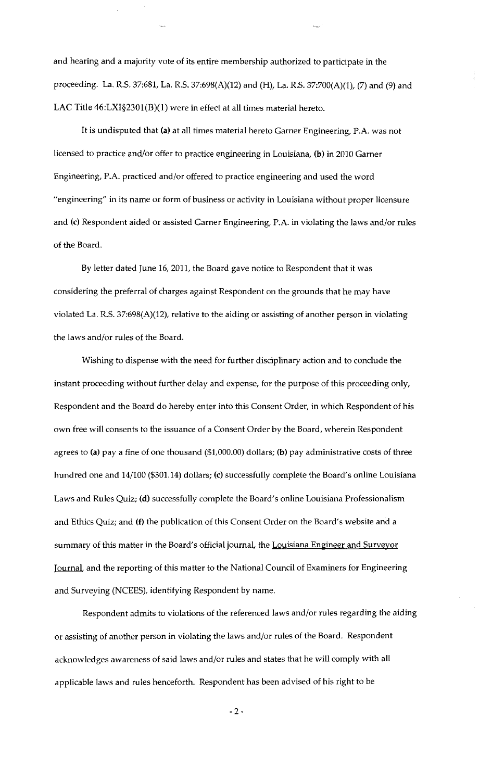and hearing and a majority vote of its entire membership authorized to participate in the proceeding. La. R.S. 37:681, La. R.S. 37:698(A)(12) and (H), La. R.S. 37:700(A)(1), (7) and (9) and LAC Title 46:LXI§2301(B)(l) were in effect at all times material hereto.

It is undisputed that (a) at all times material hereto Garner Engineering, P.A. was not licensed to practice and/or offer to practice engineering in Louisiana, (b) in 2010 Garner Engineering, P.A. practiced and/or offered to practice engineering and used the word "engineering" in its name or form of business or activity in Louisiana without proper licensure and (c) Respondent aided or assisted Garner Engineering, P.A. in violating the laws and/or rules of the Board.

By letter dated June 16, 2011, the Board gave notice to Respondent that it was considering the preferral of charges against Respondent on the grounds that he may have violated La. R.S. 37:698(A)(12), relative to the aiding or assisting of another person in violating the laws and/or rules of the Board.

Wishing to dispense with the need for further disciplinary action and to conclude the instant proceeding without further delay and expense, for the purpose of this proceeding only, Respondent and the Board do hereby enter into this Consent Order, in which Respondent of his own free will consents to the issuance of a Consent Order by the Board, wherein Respondent agrees to (a) pay a fine of one thousand (\$1,000.00) dollars; (b) pay administrative costs of three hundred one and 14/100 (\$301.14) dollars; (c) successfully complete the Board's online Louisiana Laws and Rules Quiz; (d) successfully complete the Board's online Louisiana Professionalism and Ethics Quiz; and (f) the publication of this Consent Order on the Board's website and a summary of this matter in the Board's official journal, the Louisiana Engineer and Surveyor Journal. and the reporting of this matter to the National Council of Examiners for Engineering and Surveying (NCEES), identifying Respondent by name.

Respondent admits to violations of the referenced laws and/or rules regarding the aiding or assisting of another person in violating the laws and/or rules of the Board. Respondent acknowledges awareness of said laws and/or rules and states that he will comply with all applicable laws and rules henceforth. Respondent has been advised of his right to be

 $-2-$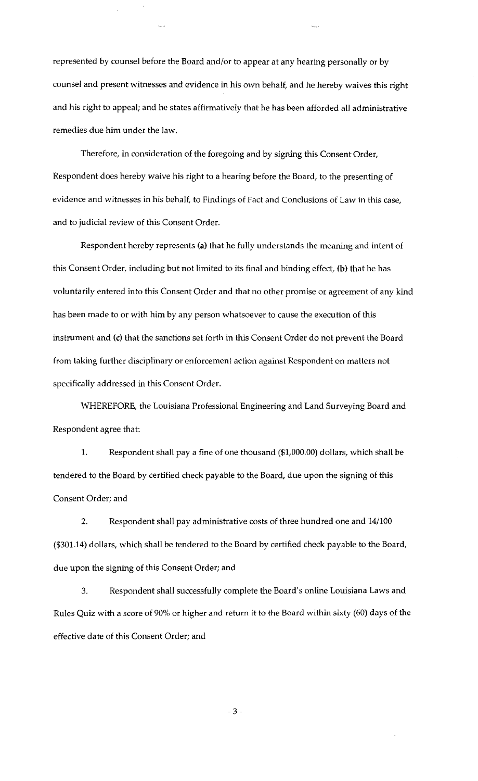represented by counsel before the Board and/or to appear at any hearing personally or by counsel and present witnesses and evidence in his own behalf, and he hereby waives this right and his right to appeal; and he states affirmatively that he has been afforded all administrative remedies due him under the law.

Therefore, in consideration of the foregoing and by signing this Consent Order, Respondent does hereby waive his right to a hearing before the Board, to the presenting of evidence and witnesses in his behalf, to Findings of Fact and Conclusions of Law in this case, and to judicial review of this Consent Order.

Respondent hereby represents (a) that he fully understands the meaning and intent of this Consent Order, including but not limited to its final and binding effect, (b) that he has voluntarily entered into this Consent Order and that no other promise or agreement of any kind has been made to or with him by any person whatsoever to cause the execution of this instrument and (c) that the sanctions set forth in this Consent Order do not prevent the Board from taking further disciplinary or enforcement action against Respondent on matters not specifically addressed in this Consent Order.

WHEREFORE, the Louisiana Professional Engineering and Land Surveying Board and Respondent agree that:

1. Respondent shall pay a fine of one thousand (\$1,000.00) dollars, which shall be tendered to the Board by certified check payable to the Board, due upon the signing of this Consent Order; and

2. Respondent shall pay administrative costs of three hundred one and 14/100 (\$301.14) dollars, which shall be tendered to the Board by certified check payable to the Board, due upon the signing of this Consent Order; and

3. Respondent shall successfully complete the Board's online Louisiana Laws and Rules Quiz with a score of 90% or higher and return it to the Board within sixty (60) days of the effective date of this Consent Order; and

- 3 -